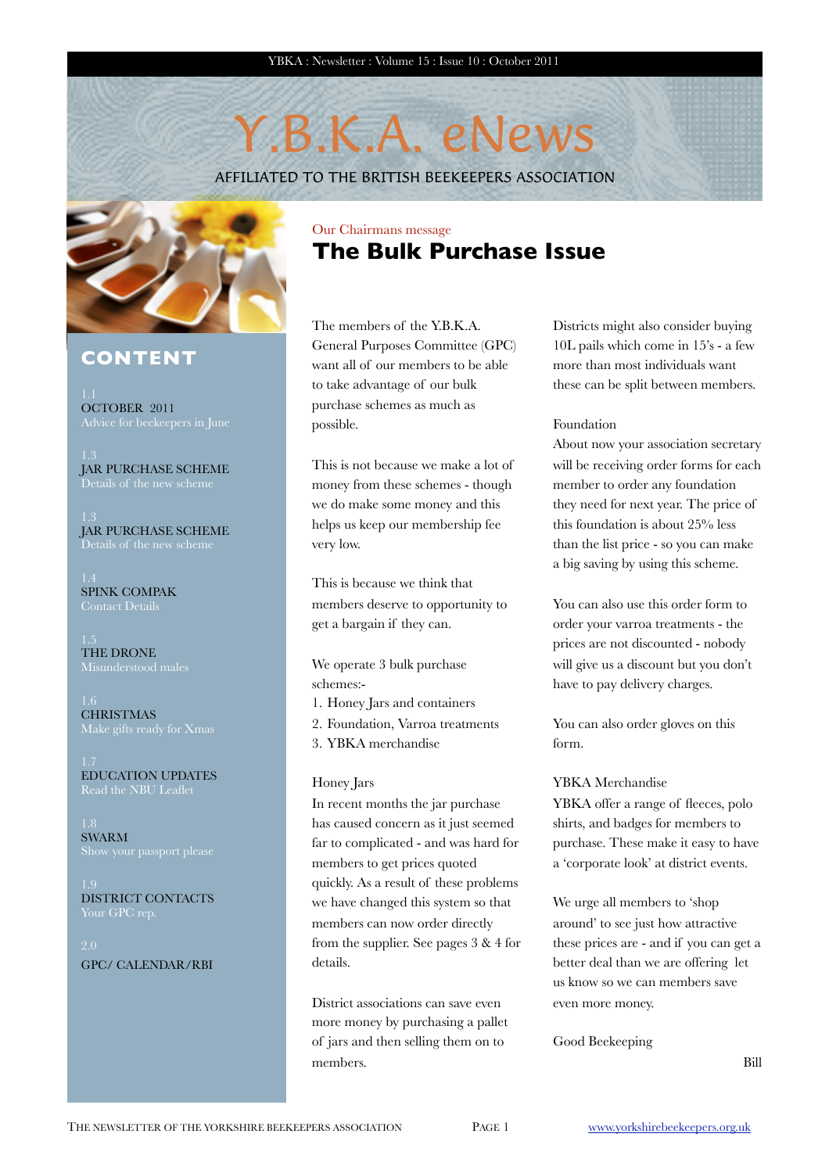## Y.B.K.A. eNews

AFFILIATED TO THE BRITISH BEEKEEPERS ASSOCIATION



#### **CONTENT**

OCTOBER 2011

JAR PURCHASE SCHEME Details of the new scheme

JAR PURCHASE SCHEME Details of the new scheme

SPINK COMPAK Contact Detail

THE DRONE Misunderstood males

**CHRISTMAS** 

EDUCATION UPDATES Read the NBU Leaflet

SWARM

DISTRICT CONTACTS

GPC/ CALENDAR/RBI

#### Our Chairmans message **The Bulk Purchase Issue**

The members of the Y.B.K.A. General Purposes Committee (GPC) want all of our members to be able to take advantage of our bulk purchase schemes as much as possible.

This is not because we make a lot of money from these schemes - though we do make some money and this helps us keep our membership fee very low.

This is because we think that members deserve to opportunity to get a bargain if they can.

We operate 3 bulk purchase schemes:-

- 1. Honey Jars and containers
- 2. Foundation, Varroa treatments
- 3. YBKA merchandise

#### Honey Jars

In recent months the jar purchase has caused concern as it just seemed far to complicated - and was hard for members to get prices quoted quickly. As a result of these problems we have changed this system so that members can now order directly from the supplier. See pages 3 & 4 for details.

District associations can save even more money by purchasing a pallet of jars and then selling them on to members.

Districts might also consider buying 10L pails which come in 15's - a few more than most individuals want these can be split between members.

#### Foundation

About now your association secretary will be receiving order forms for each member to order any foundation they need for next year. The price of this foundation is about 25% less than the list price - so you can make a big saving by using this scheme.

You can also use this order form to order your varroa treatments - the prices are not discounted - nobody will give us a discount but you don't have to pay delivery charges.

You can also order gloves on this form.

#### YBKA Merchandise

YBKA offer a range of fleeces, polo shirts, and badges for members to purchase. These make it easy to have a 'corporate look' at district events.

We urge all members to 'shop around' to see just how attractive these prices are - and if you can get a better deal than we are offering let us know so we can members save even more money.

#### Good Beekeeping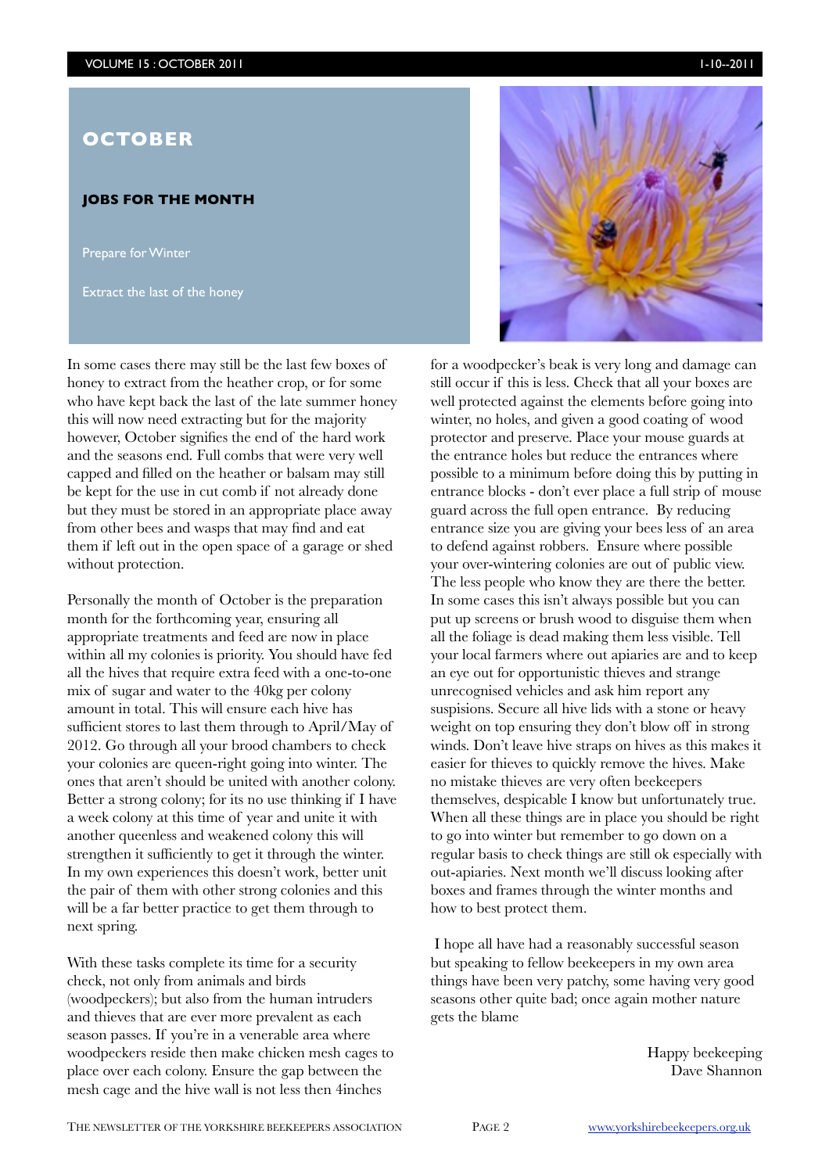#### **JOBS FOR THE MONTH**

Prepare for Winter

Extract the last of the honey

In some cases there may still be the last few boxes of honey to extract from the heather crop, or for some who have kept back the last of the late summer honey this will now need extracting but for the majority however, October signifies the end of the hard work and the seasons end. Full combs that were very well capped and filled on the heather or balsam may still be kept for the use in cut comb if not already done but they must be stored in an appropriate place away from other bees and wasps that may find and eat them if left out in the open space of a garage or shed without protection.

Personally the month of October is the preparation month for the forthcoming year, ensuring all appropriate treatments and feed are now in place within all my colonies is priority. You should have fed all the hives that require extra feed with a one-to-one mix of sugar and water to the 40kg per colony amount in total. This will ensure each hive has sufficient stores to last them through to April/May of 2012. Go through all your brood chambers to check your colonies are queen-right going into winter. The ones that aren't should be united with another colony. Better a strong colony; for its no use thinking if I have a week colony at this time of year and unite it with another queenless and weakened colony this will strengthen it sufficiently to get it through the winter. In my own experiences this doesn't work, better unit the pair of them with other strong colonies and this will be a far better practice to get them through to next spring.

With these tasks complete its time for a security check, not only from animals and birds (woodpeckers); but also from the human intruders and thieves that are ever more prevalent as each season passes. If you're in a venerable area where woodpeckers reside then make chicken mesh cages to place over each colony. Ensure the gap between the mesh cage and the hive wall is not less then 4inches



for a woodpecker's beak is very long and damage can still occur if this is less. Check that all your boxes are well protected against the elements before going into winter, no holes, and given a good coating of wood protector and preserve. Place your mouse guards at the entrance holes but reduce the entrances where possible to a minimum before doing this by putting in entrance blocks - don't ever place a full strip of mouse guard across the full open entrance. By reducing entrance size you are giving your bees less of an area to defend against robbers. Ensure where possible your over-wintering colonies are out of public view. The less people who know they are there the better. In some cases this isn't always possible but you can put up screens or brush wood to disguise them when all the foliage is dead making them less visible. Tell your local farmers where out apiaries are and to keep an eye out for opportunistic thieves and strange unrecognised vehicles and ask him report any suspisions. Secure all hive lids with a stone or heavy weight on top ensuring they don't blow off in strong winds. Don't leave hive straps on hives as this makes it easier for thieves to quickly remove the hives. Make no mistake thieves are very often beekeepers themselves, despicable I know but unfortunately true. When all these things are in place you should be right to go into winter but remember to go down on a regular basis to check things are still ok especially with out-apiaries. Next month we'll discuss looking after boxes and frames through the winter months and how to best protect them.

 I hope all have had a reasonably successful season but speaking to fellow beekeepers in my own area things have been very patchy, some having very good seasons other quite bad; once again mother nature gets the blame

> Happy beekeeping Dave Shannon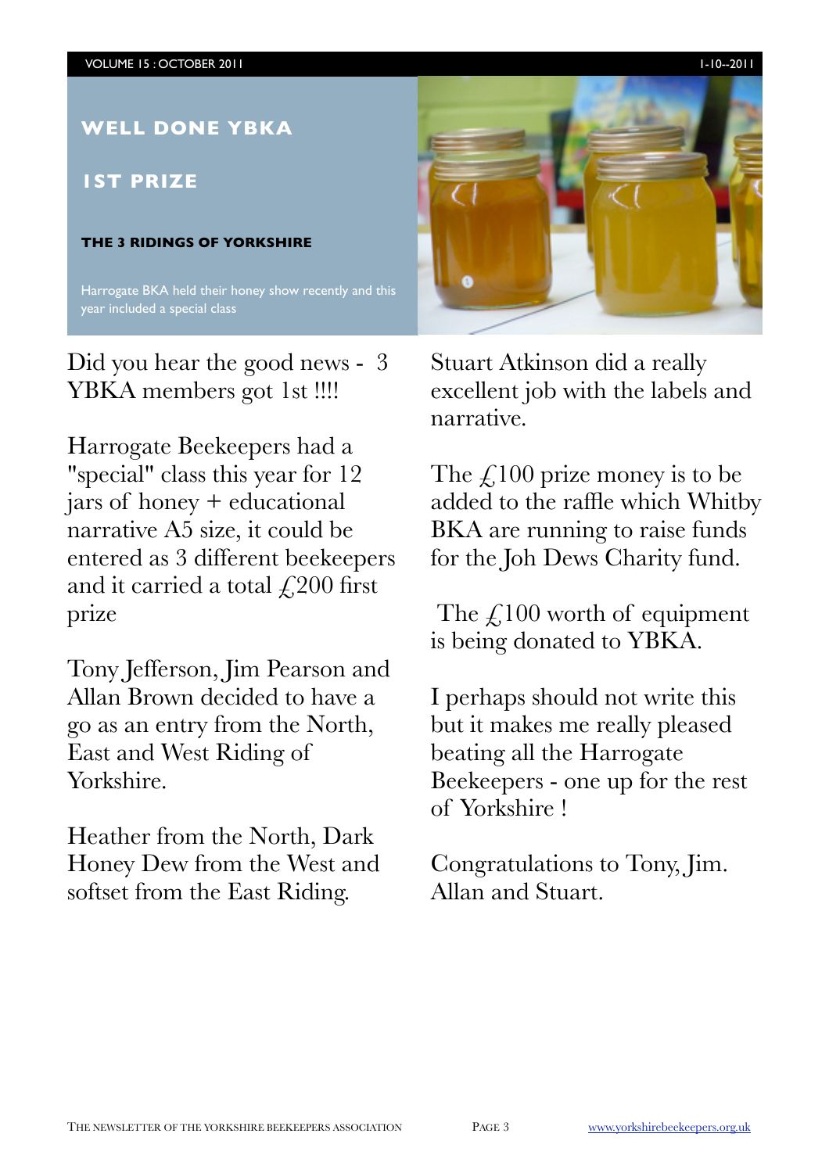

Did you hear the good news - 3 YBKA members got 1st !!!!

Harrogate Beekeepers had a "special" class this year for 12 jars of honey + educational narrative A5 size, it could be entered as 3 different beekeepers and it carried a total  $\text{\textsterling}200$  first prize

Tony Jefferson, Jim Pearson and Allan Brown decided to have a go as an entry from the North, East and West Riding of Yorkshire.

Heather from the North, Dark Honey Dew from the West and softset from the East Riding.

Stuart Atkinson did a really excellent job with the labels and narrative.

The  $\angle$ 100 prize money is to be added to the raffle which Whitby BKA are running to raise funds for the Joh Dews Charity fund.

The  $\mathcal{L}$ 100 worth of equipment is being donated to YBKA.

I perhaps should not write this but it makes me really pleased beating all the Harrogate Beekeepers - one up for the rest of Yorkshire !

Congratulations to Tony, Jim. Allan and Stuart.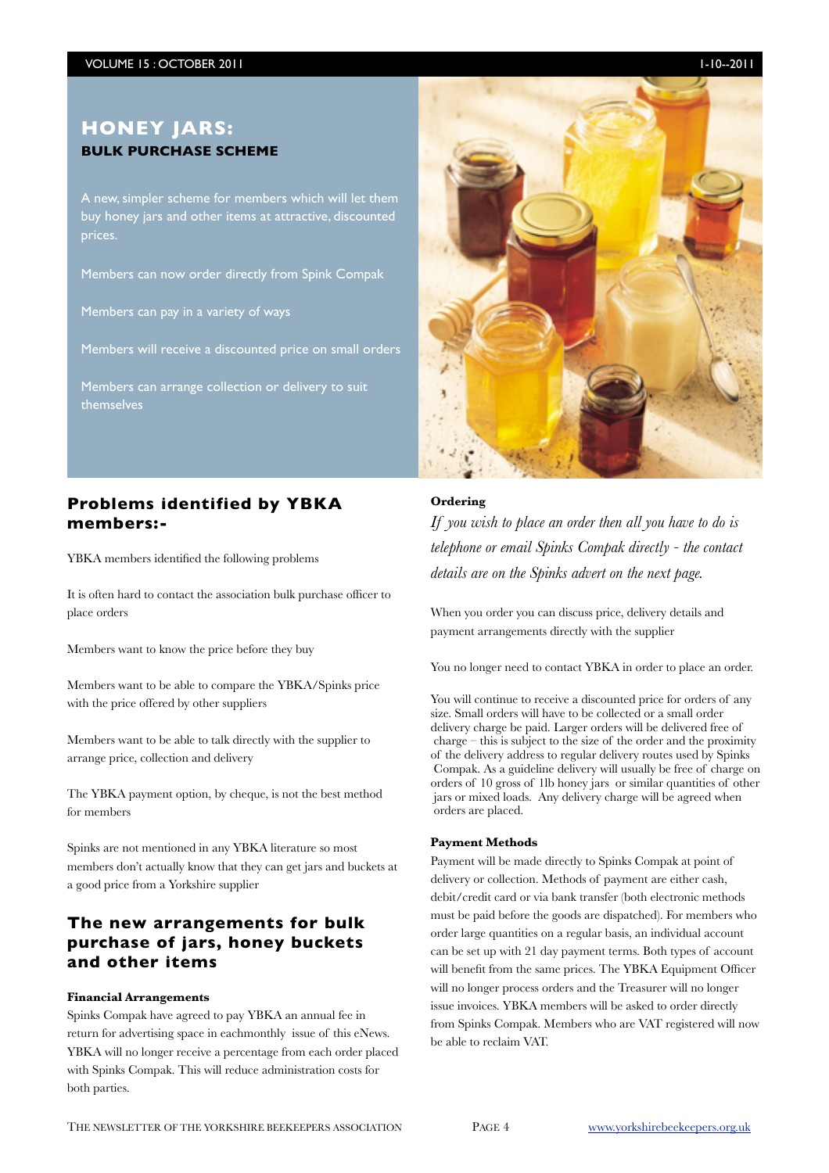A new, simpler scheme for members which will let them buy honey jars and other items at attractive, discounted prices.

Members can now order directly from Spink Compak

Members can pay in a variety of ways

Members will receive a discounted price on small orders

Members can arrange collection or delivery to suit themselves

#### **Problems identified by YBKA members:-**

YBKA members identified the following problems

It is often hard to contact the association bulk purchase officer to place orders

Members want to know the price before they buy

Members want to be able to compare the YBKA/Spinks price with the price offered by other suppliers

Members want to be able to talk directly with the supplier to arrange price, collection and delivery

The YBKA payment option, by cheque, is not the best method for members

Spinks are not mentioned in any YBKA literature so most members don't actually know that they can get jars and buckets at a good price from a Yorkshire supplier

#### **The new arrangements for bulk purchase of jars, honey buckets and other items**

#### **Financial Arrangements**

Spinks Compak have agreed to pay YBKA an annual fee in return for advertising space in eachmonthly issue of this eNews. YBKA will no longer receive a percentage from each order placed with Spinks Compak. This will reduce administration costs for both parties.



#### **Ordering**

*If you wish to place an order then all you have to do is telephone or email Spinks Compak directly - the contact details are on the Spinks advert on the next page.*

When you order you can discuss price, delivery details and payment arrangements directly with the supplier

You no longer need to contact YBKA in order to place an order.

You will continue to receive a discounted price for orders of any size. Small orders will have to be collected or a small order delivery charge be paid. Larger orders will be delivered free of charge – this is subject to the size of the order and the proximity of the delivery address to regular delivery routes used by Spinks Compak. As a guideline delivery will usually be free of charge on orders of 10 gross of 1lb honey jars or similar quantities of other jars or mixed loads. Any delivery charge will be agreed when orders are placed.

#### **Payment Methods**

Payment will be made directly to Spinks Compak at point of delivery or collection. Methods of payment are either cash, debit/credit card or via bank transfer (both electronic methods must be paid before the goods are dispatched). For members who order large quantities on a regular basis, an individual account can be set up with 21 day payment terms. Both types of account will benefit from the same prices. The YBKA Equipment Officer will no longer process orders and the Treasurer will no longer issue invoices. YBKA members will be asked to order directly from Spinks Compak. Members who are VAT registered will now be able to reclaim VAT.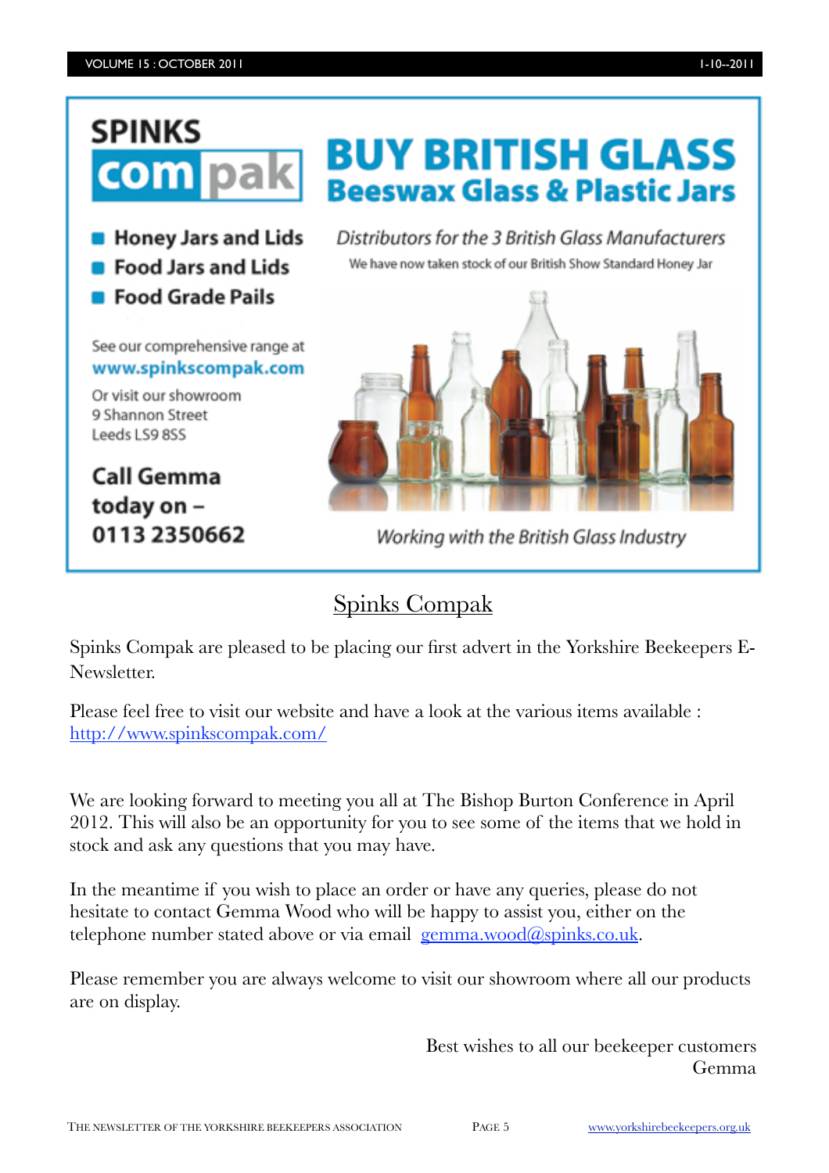## **SPINKS** com **B** Honey Jars and Lids **Food Jars and Lids Food Grade Pails** See our comprehensive range at www.spinkscompak.com Or visit our showroom 9 Shannon Street Leeds LS9 8SS **Call Gemma** today on -0113 2350662

**BUY BRITISH GLASS Beeswax Glass & Plastic Jars** 

Distributors for the 3 British Glass Manufacturers We have now taken stock of our British Show Standard Honey Jar



Working with the British Glass Industry

## Spinks Compak

Spinks Compak are pleased to be placing our first advert in the Yorkshire Beekeepers E-Newsletter.

Please feel free to visit our website and have a look at the various items available : <http://www.spinkscompak.com/>

We are looking forward to meeting you all at The Bishop Burton Conference in April 2012. This will also be an opportunity for you to see some of the items that we hold in stock and ask any questions that you may have.

In the meantime if you wish to place an order or have any queries, please do not hesitate to contact Gemma Wood who will be happy to assist you, either on the telephone number stated above or via email  $\gamma$  gemma.wood $\gamma$  apinks.co.uk.

Please remember you are always welcome to visit our showroom where all our products are on display.

> Best wishes to all our beekeeper customers Gemma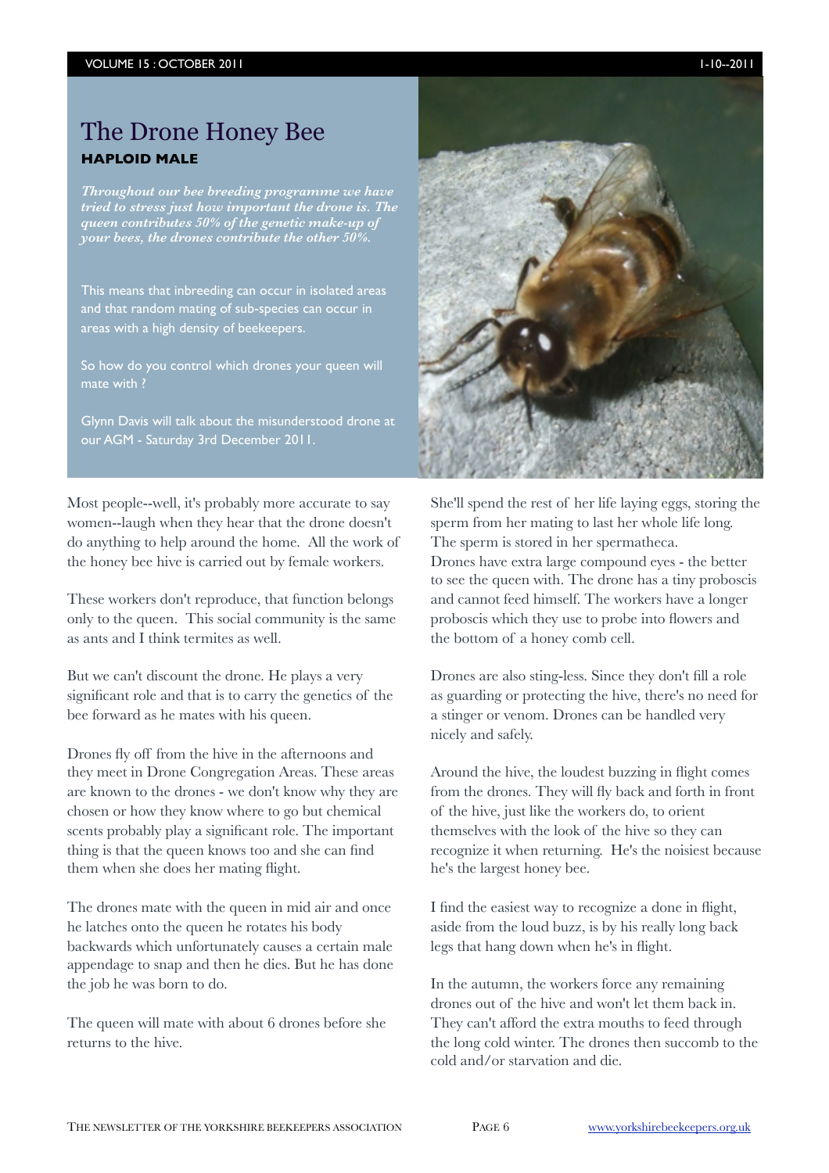## The Drone Honey Bee **HAPLOID MALE**

*Throughout our bee breeding programme we have tried to stress just how important the drone is. The queen contributes 50% of the genetic make-up of your bees, the drones contribute the other 50%.*

This means that inbreeding can occur in isolated areas and that random mating of sub-species can occur in areas with a high density of beekeepers.

So how do you control which drones your queen will

Glynn Davis will talk about the misunderstood drone at our AGM - Saturday 3rd December 2011.

Most people--well, it's probably more accurate to say women--laugh when they hear that the drone doesn't do anything to help around the home. All the work of the honey bee hive is carried out by female workers.

These workers don't reproduce, that function belongs only to the queen. This social community is the same as ants and I think termites as well.

But we can't discount the drone. He plays a very significant role and that is to carry the genetics of the bee forward as he mates with his queen.

Drones fly off from the hive in the afternoons and they meet in Drone Congregation Areas. These areas are known to the drones - we don't know why they are chosen or how they know where to go but chemical scents probably play a significant role. The important thing is that the queen knows too and she can find them when she does her mating flight.

The drones mate with the queen in mid air and once he latches onto the queen he rotates his body backwards which unfortunately causes a certain male appendage to snap and then he dies. But he has done the job he was born to do.

The queen will mate with about 6 drones before she returns to the hive.



She'll spend the rest of her life laying eggs, storing the sperm from her mating to last her whole life long. The sperm is stored in her spermatheca. Drones have extra large compound eyes - the better to see the queen with. The drone has a tiny proboscis and cannot feed himself. The workers have a longer proboscis which they use to probe into flowers and the bottom of a honey comb cell.

Drones are also sting-less. Since they don't fill a role as guarding or protecting the hive, there's no need for a stinger or venom. Drones can be handled very nicely and safely.

Around the hive, the loudest buzzing in flight comes from the drones. They will fly back and forth in front of the hive, just like the workers do, to orient themselves with the look of the hive so they can recognize it when returning. He's the noisiest because he's the largest honey bee.

I find the easiest way to recognize a done in flight, aside from the loud buzz, is by his really long back legs that hang down when he's in flight.

In the autumn, the workers force any remaining drones out of the hive and won't let them back in. They can't afford the extra mouths to feed through the long cold winter. The drones then succomb to the cold and/or starvation and die.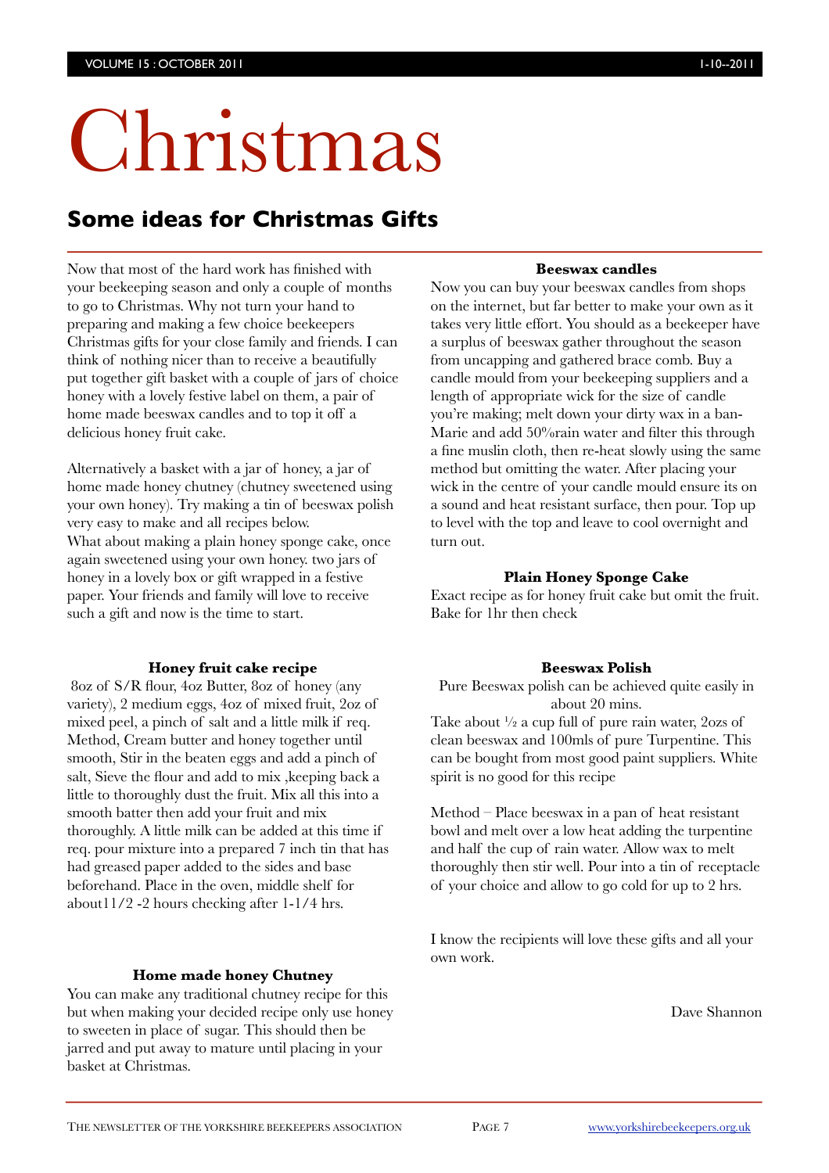# Christmas

## **Some ideas for Christmas Gifts**

Now that most of the hard work has finished with your beekeeping season and only a couple of months to go to Christmas. Why not turn your hand to preparing and making a few choice beekeepers Christmas gifts for your close family and friends. I can think of nothing nicer than to receive a beautifully put together gift basket with a couple of jars of choice honey with a lovely festive label on them, a pair of home made beeswax candles and to top it off a delicious honey fruit cake.

Alternatively a basket with a jar of honey, a jar of home made honey chutney (chutney sweetened using your own honey). Try making a tin of beeswax polish very easy to make and all recipes below. What about making a plain honey sponge cake, once again sweetened using your own honey. two jars of honey in a lovely box or gift wrapped in a festive paper. Your friends and family will love to receive such a gift and now is the time to start.

#### **Honey fruit cake recipe**

 8oz of S/R flour, 4oz Butter, 8oz of honey (any variety), 2 medium eggs, 4oz of mixed fruit, 2oz of mixed peel, a pinch of salt and a little milk if req. Method, Cream butter and honey together until smooth, Stir in the beaten eggs and add a pinch of salt, Sieve the flour and add to mix ,keeping back a little to thoroughly dust the fruit. Mix all this into a smooth batter then add your fruit and mix thoroughly. A little milk can be added at this time if req. pour mixture into a prepared 7 inch tin that has had greased paper added to the sides and base beforehand. Place in the oven, middle shelf for about11/2 -2 hours checking after 1-1/4 hrs.

#### **Home made honey Chutney**

You can make any traditional chutney recipe for this but when making your decided recipe only use honey to sweeten in place of sugar. This should then be jarred and put away to mature until placing in your basket at Christmas.

#### **Beeswax candles**

Now you can buy your beeswax candles from shops on the internet, but far better to make your own as it takes very little effort. You should as a beekeeper have a surplus of beeswax gather throughout the season from uncapping and gathered brace comb. Buy a candle mould from your beekeeping suppliers and a length of appropriate wick for the size of candle you're making; melt down your dirty wax in a ban-Marie and add 50%rain water and filter this through a fine muslin cloth, then re-heat slowly using the same method but omitting the water. After placing your wick in the centre of your candle mould ensure its on a sound and heat resistant surface, then pour. Top up to level with the top and leave to cool overnight and turn out.

#### **Plain Honey Sponge Cake**

Exact recipe as for honey fruit cake but omit the fruit. Bake for 1hr then check

#### **Beeswax Polish**

Pure Beeswax polish can be achieved quite easily in about 20 mins.

Take about ½ a cup full of pure rain water, 2ozs of clean beeswax and 100mls of pure Turpentine. This can be bought from most good paint suppliers. White spirit is no good for this recipe

Method – Place beeswax in a pan of heat resistant bowl and melt over a low heat adding the turpentine and half the cup of rain water. Allow wax to melt thoroughly then stir well. Pour into a tin of receptacle of your choice and allow to go cold for up to 2 hrs.

I know the recipients will love these gifts and all your own work.

Dave Shannon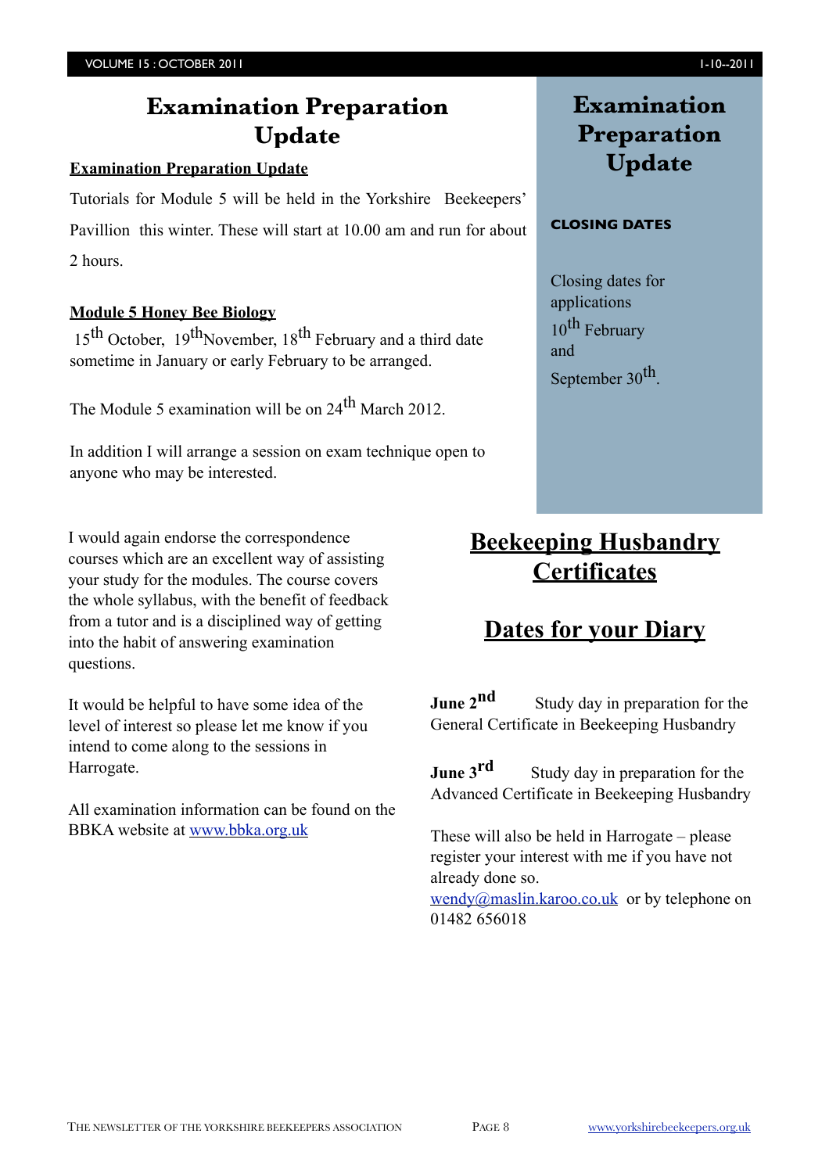## **Examination Preparation Update**

#### **Examination Preparation Update**

Tutorials for Module 5 will be held in the Yorkshire Beekeepers' Pavillion this winter. These will start at 10.00 am and run for about 2 hours.

#### **Module 5 Honey Bee Biology**

 $15<sup>th</sup>$  October,  $19<sup>th</sup>$ November,  $18<sup>th</sup>$  February and a third date sometime in January or early February to be arranged.

The Module 5 examination will be on  $24<sup>th</sup>$  March 2012.

In addition I will arrange a session on exam technique open to anyone who may be interested.

I would again endorse the correspondence courses which are an excellent way of assisting your study for the modules. The course covers the whole syllabus, with the benefit of feedback from a tutor and is a disciplined way of getting into the habit of answering examination questions.

It would be helpful to have some idea of the level of interest so please let me know if you intend to come along to the sessions in Harrogate.

All examination information can be found on the BBKA website at [www.bbka.org.uk](http://www.bbka.org.uk/)

## **Examination Preparation Update**

#### **CLOSING DATES**

Closing dates for applications  $10^{\text{th}}$  February and September 30<sup>th</sup>.

## **Beekeeping Husbandry Certificates**

## **Dates for your Diary**

**June 2<sup>nd</sup>** Study day in preparation for the General Certificate in Beekeeping Husbandry

**June 3<sup>rd</sup>** Study day in preparation for the Advanced Certificate in Beekeeping Husbandry

These will also be held in Harrogate – please register your interest with me if you have not already done so.

[wendy@maslin.karoo.co.uk](mailto:wendy@maslin.karoo.co.uk) or by telephone on 01482 656018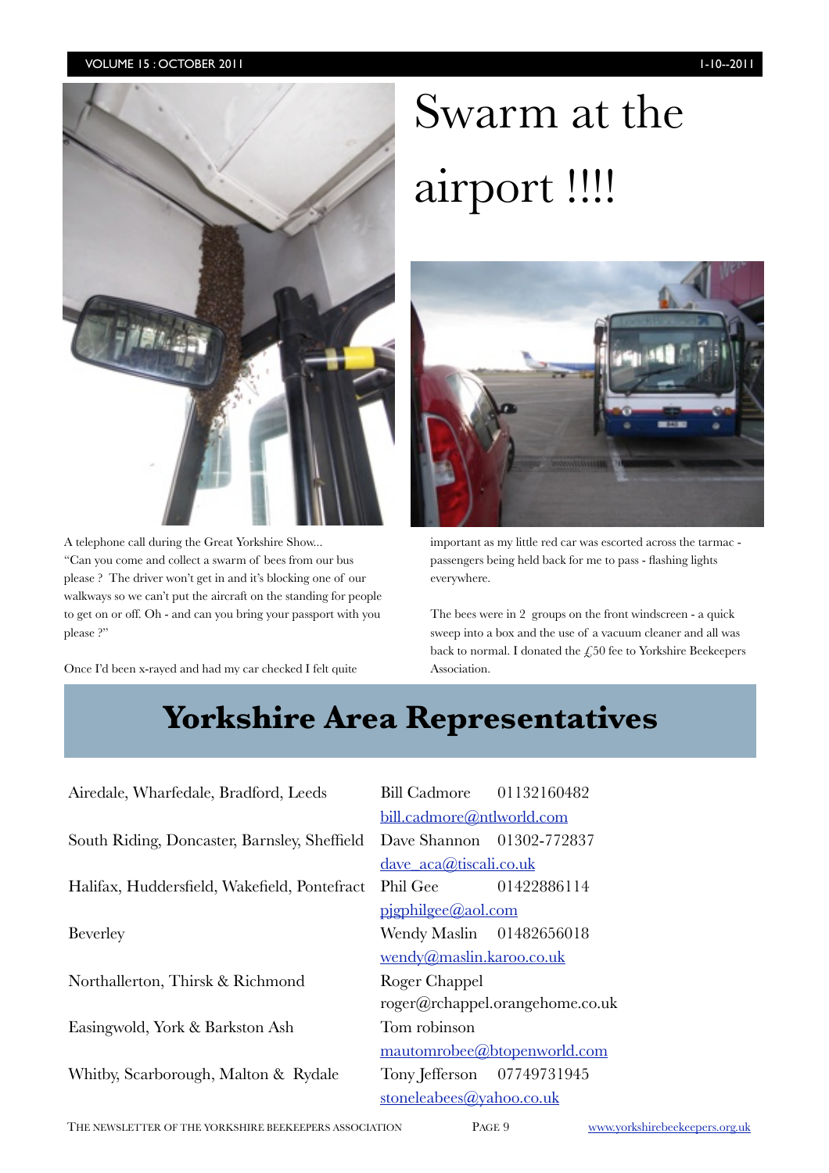

A telephone call during the Great Yorkshire Show... "Can you come and collect a swarm of bees from our bus please ? The driver won't get in and it's blocking one of our walkways so we can't put the aircraft on the standing for people to get on or off. Oh - and can you bring your passport with you please?"

Once I'd been x-rayed and had my car checked I felt quite

## Swarm at the airport !!!!



important as my little red car was escorted across the tarmac passengers being held back for me to pass - flashing lights everywhere.

The bees were in 2 groups on the front windscreen - a quick sweep into a box and the use of a vacuum cleaner and all was back to normal. I donated the  $\zeta$ ,50 fee to Yorkshire Beekeepers Association.

## **Yorkshire Area Representatives Yorkshire Area Representatives**

Airedale, Wharfedale, Bradford, Leeds Bill Cadmore 01132160482 South Riding, Doncaster, Barnsley, Sheffield Dave Shannon 01302-772837 Halifax, Huddersfield, Wakefield, Pontefract Phil Gee 01422886114 Beverley **Wendy Maslin** 01482656018 Northallerton, Thirsk & Richmond Roger Chappel Easingwold, York & Barkston Ash Tom robinson Whitby, Scarborough, Malton & Rydale Tony Jefferson 07749731945

 [bill.cadmore@ntlworld.com](mailto:bill.cadmore@ntlworld.com) [dave\\_aca@tiscali.co.uk](mailto:dave_aca@tiscali.co.uk) [pjgphilgee@aol.com](mailto:pjgphilgee@aol.com) [wendy@maslin.karoo.co.uk](mailto:wendy@maslin.karoo.co.uk) [roger@rchappel.orangehome.co.uk](mailto:roger@rchappel.orangehome.co.uk) [mautomrobee@btopenworld.com](mailto:mautomrobee@btopenworld.com) [stoneleabees@yahoo.co.uk](mailto:stoneleabees@yahoo.co.uk)